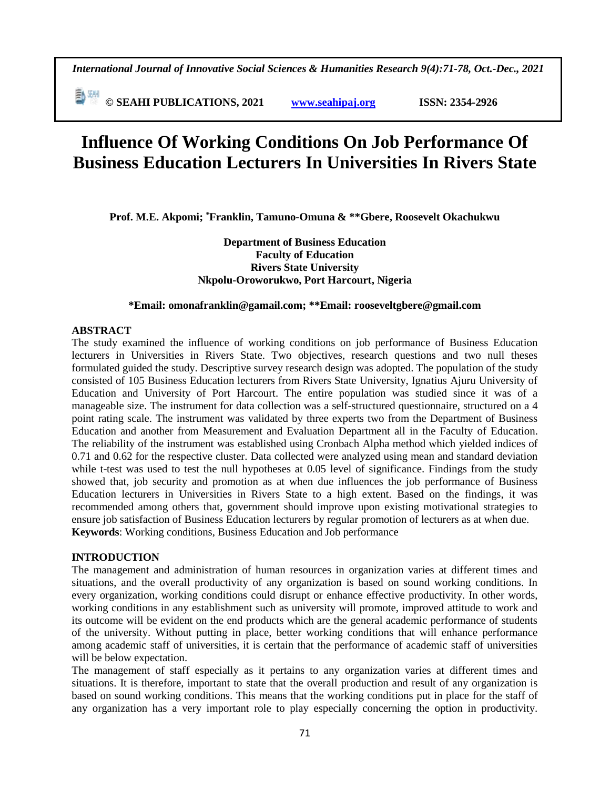**© SEAHI PUBLICATIONS, 2021 [www.seahipaj.org](http://www.seahipaj.org/) ISSN: 2354-2926** 

# **Influence Of Working Conditions On Job Performance Of Business Education Lecturers In Universities In Rivers State**

**Prof. M.E. Akpomi; \*Franklin, Tamuno-Omuna & \*\*Gbere, Roosevelt Okachukwu**

**Department of Business Education Faculty of Education Rivers State University Nkpolu-Oroworukwo, Port Harcourt, Nigeria**

#### **\*Email: [omonafranklin@gamail.com;](mailto:omonafranklin@gamail.com) \*\*Email[: rooseveltgbere@gmail.com](mailto:rooseveltgbere@gmail.com)**

#### **ABSTRACT**

The study examined the influence of working conditions on job performance of Business Education lecturers in Universities in Rivers State. Two objectives, research questions and two null theses formulated guided the study. Descriptive survey research design was adopted. The population of the study consisted of 105 Business Education lecturers from Rivers State University, Ignatius Ajuru University of Education and University of Port Harcourt. The entire population was studied since it was of a manageable size. The instrument for data collection was a self-structured questionnaire, structured on a 4 point rating scale. The instrument was validated by three experts two from the Department of Business Education and another from Measurement and Evaluation Department all in the Faculty of Education. The reliability of the instrument was established using Cronbach Alpha method which yielded indices of 0.71 and 0.62 for the respective cluster. Data collected were analyzed using mean and standard deviation while t-test was used to test the null hypotheses at 0.05 level of significance. Findings from the study showed that, job security and promotion as at when due influences the job performance of Business Education lecturers in Universities in Rivers State to a high extent. Based on the findings, it was recommended among others that, government should improve upon existing motivational strategies to ensure job satisfaction of Business Education lecturers by regular promotion of lecturers as at when due. **Keywords**: Working conditions, Business Education and Job performance

#### **INTRODUCTION**

The management and administration of human resources in organization varies at different times and situations, and the overall productivity of any organization is based on sound working conditions. In every organization, working conditions could disrupt or enhance effective productivity. In other words, working conditions in any establishment such as university will promote, improved attitude to work and its outcome will be evident on the end products which are the general academic performance of students of the university. Without putting in place, better working conditions that will enhance performance among academic staff of universities, it is certain that the performance of academic staff of universities will be below expectation.

The management of staff especially as it pertains to any organization varies at different times and situations. It is therefore, important to state that the overall production and result of any organization is based on sound working conditions. This means that the working conditions put in place for the staff of any organization has a very important role to play especially concerning the option in productivity.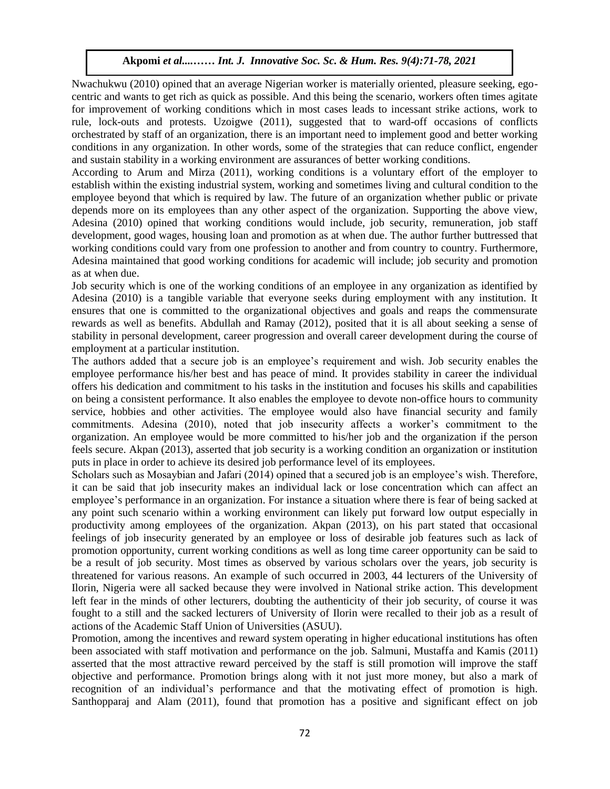Nwachukwu (2010) opined that an average Nigerian worker is materially oriented, pleasure seeking, egocentric and wants to get rich as quick as possible. And this being the scenario, workers often times agitate for improvement of working conditions which in most cases leads to incessant strike actions, work to rule, lock-outs and protests. Uzoigwe (2011), suggested that to ward-off occasions of conflicts orchestrated by staff of an organization, there is an important need to implement good and better working conditions in any organization. In other words, some of the strategies that can reduce conflict, engender and sustain stability in a working environment are assurances of better working conditions.

According to Arum and Mirza (2011), working conditions is a voluntary effort of the employer to establish within the existing industrial system, working and sometimes living and cultural condition to the employee beyond that which is required by law. The future of an organization whether public or private depends more on its employees than any other aspect of the organization. Supporting the above view, Adesina (2010) opined that working conditions would include, job security, remuneration, job staff development, good wages, housing loan and promotion as at when due. The author further buttressed that working conditions could vary from one profession to another and from country to country. Furthermore, Adesina maintained that good working conditions for academic will include; job security and promotion as at when due.

Job security which is one of the working conditions of an employee in any organization as identified by Adesina (2010) is a tangible variable that everyone seeks during employment with any institution. It ensures that one is committed to the organizational objectives and goals and reaps the commensurate rewards as well as benefits. Abdullah and Ramay (2012), posited that it is all about seeking a sense of stability in personal development, career progression and overall career development during the course of employment at a particular institution.

The authors added that a secure job is an employee's requirement and wish. Job security enables the employee performance his/her best and has peace of mind. It provides stability in career the individual offers his dedication and commitment to his tasks in the institution and focuses his skills and capabilities on being a consistent performance. It also enables the employee to devote non-office hours to community service, hobbies and other activities. The employee would also have financial security and family commitments. Adesina (2010), noted that job insecurity affects a worker's commitment to the organization. An employee would be more committed to his/her job and the organization if the person feels secure. Akpan (2013), asserted that job security is a working condition an organization or institution puts in place in order to achieve its desired job performance level of its employees.

Scholars such as Mosaybian and Jafari (2014) opined that a secured job is an employee's wish. Therefore, it can be said that job insecurity makes an individual lack or lose concentration which can affect an employee's performance in an organization. For instance a situation where there is fear of being sacked at any point such scenario within a working environment can likely put forward low output especially in productivity among employees of the organization. Akpan (2013), on his part stated that occasional feelings of job insecurity generated by an employee or loss of desirable job features such as lack of promotion opportunity, current working conditions as well as long time career opportunity can be said to be a result of job security. Most times as observed by various scholars over the years, job security is threatened for various reasons. An example of such occurred in 2003, 44 lecturers of the University of Ilorin, Nigeria were all sacked because they were involved in National strike action. This development left fear in the minds of other lecturers, doubting the authenticity of their job security, of course it was fought to a still and the sacked lecturers of University of Ilorin were recalled to their job as a result of actions of the Academic Staff Union of Universities (ASUU).

Promotion, among the incentives and reward system operating in higher educational institutions has often been associated with staff motivation and performance on the job. Salmuni, Mustaffa and Kamis (2011) asserted that the most attractive reward perceived by the staff is still promotion will improve the staff objective and performance. Promotion brings along with it not just more money, but also a mark of recognition of an individual's performance and that the motivating effect of promotion is high. Santhopparaj and Alam (2011), found that promotion has a positive and significant effect on job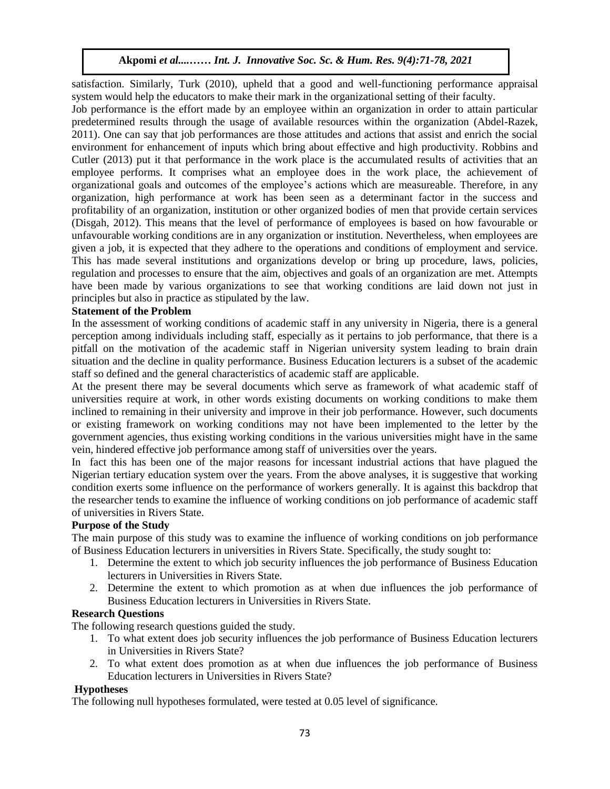satisfaction. Similarly, Turk (2010), upheld that a good and well-functioning performance appraisal system would help the educators to make their mark in the organizational setting of their faculty.

Job performance is the effort made by an employee within an organization in order to attain particular predetermined results through the usage of available resources within the organization (Abdel-Razek, 2011). One can say that job performances are those attitudes and actions that assist and enrich the social environment for enhancement of inputs which bring about effective and high productivity. Robbins and Cutler (2013) put it that performance in the work place is the accumulated results of activities that an employee performs. It comprises what an employee does in the work place, the achievement of organizational goals and outcomes of the employee's actions which are measureable. Therefore, in any organization, high performance at work has been seen as a determinant factor in the success and profitability of an organization, institution or other organized bodies of men that provide certain services (Disgah, 2012). This means that the level of performance of employees is based on how favourable or unfavourable working conditions are in any organization or institution. Nevertheless, when employees are given a job, it is expected that they adhere to the operations and conditions of employment and service. This has made several institutions and organizations develop or bring up procedure, laws, policies, regulation and processes to ensure that the aim, objectives and goals of an organization are met. Attempts have been made by various organizations to see that working conditions are laid down not just in principles but also in practice as stipulated by the law.

# **Statement of the Problem**

In the assessment of working conditions of academic staff in any university in Nigeria, there is a general perception among individuals including staff, especially as it pertains to job performance, that there is a pitfall on the motivation of the academic staff in Nigerian university system leading to brain drain situation and the decline in quality performance. Business Education lecturers is a subset of the academic staff so defined and the general characteristics of academic staff are applicable.

At the present there may be several documents which serve as framework of what academic staff of universities require at work, in other words existing documents on working conditions to make them inclined to remaining in their university and improve in their job performance. However, such documents or existing framework on working conditions may not have been implemented to the letter by the government agencies, thus existing working conditions in the various universities might have in the same vein, hindered effective job performance among staff of universities over the years.

In fact this has been one of the major reasons for incessant industrial actions that have plagued the Nigerian tertiary education system over the years. From the above analyses, it is suggestive that working condition exerts some influence on the performance of workers generally. It is against this backdrop that the researcher tends to examine the influence of working conditions on job performance of academic staff of universities in Rivers State.

# **Purpose of the Study**

The main purpose of this study was to examine the influence of working conditions on job performance of Business Education lecturers in universities in Rivers State. Specifically, the study sought to:

- 1. Determine the extent to which job security influences the job performance of Business Education lecturers in Universities in Rivers State.
- 2. Determine the extent to which promotion as at when due influences the job performance of Business Education lecturers in Universities in Rivers State.

# **Research Questions**

The following research questions guided the study.

- 1. To what extent does job security influences the job performance of Business Education lecturers in Universities in Rivers State?
- 2. To what extent does promotion as at when due influences the job performance of Business Education lecturers in Universities in Rivers State?

# **Hypotheses**

The following null hypotheses formulated, were tested at 0.05 level of significance.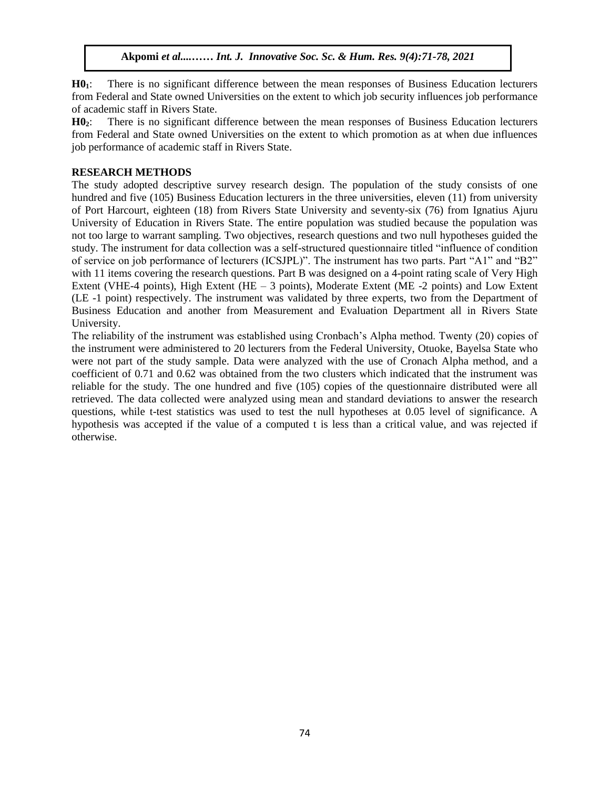**H01**: There is no significant difference between the mean responses of Business Education lecturers from Federal and State owned Universities on the extent to which job security influences job performance of academic staff in Rivers State.

**H02**: There is no significant difference between the mean responses of Business Education lecturers from Federal and State owned Universities on the extent to which promotion as at when due influences job performance of academic staff in Rivers State.

# **RESEARCH METHODS**

The study adopted descriptive survey research design. The population of the study consists of one hundred and five (105) Business Education lecturers in the three universities, eleven (11) from university of Port Harcourt, eighteen (18) from Rivers State University and seventy-six (76) from Ignatius Ajuru University of Education in Rivers State. The entire population was studied because the population was not too large to warrant sampling. Two objectives, research questions and two null hypotheses guided the study. The instrument for data collection was a self-structured questionnaire titled "influence of condition of service on job performance of lecturers (ICSJPL)". The instrument has two parts. Part "A1" and "B2" with 11 items covering the research questions. Part B was designed on a 4-point rating scale of Very High Extent (VHE-4 points), High Extent (HE  $-$  3 points), Moderate Extent (ME -2 points) and Low Extent (LE -1 point) respectively. The instrument was validated by three experts, two from the Department of Business Education and another from Measurement and Evaluation Department all in Rivers State University.

The reliability of the instrument was established using Cronbach's Alpha method. Twenty (20) copies of the instrument were administered to 20 lecturers from the Federal University, Otuoke, Bayelsa State who were not part of the study sample. Data were analyzed with the use of Cronach Alpha method, and a coefficient of 0.71 and 0.62 was obtained from the two clusters which indicated that the instrument was reliable for the study. The one hundred and five (105) copies of the questionnaire distributed were all retrieved. The data collected were analyzed using mean and standard deviations to answer the research questions, while t-test statistics was used to test the null hypotheses at 0.05 level of significance. A hypothesis was accepted if the value of a computed t is less than a critical value, and was rejected if otherwise.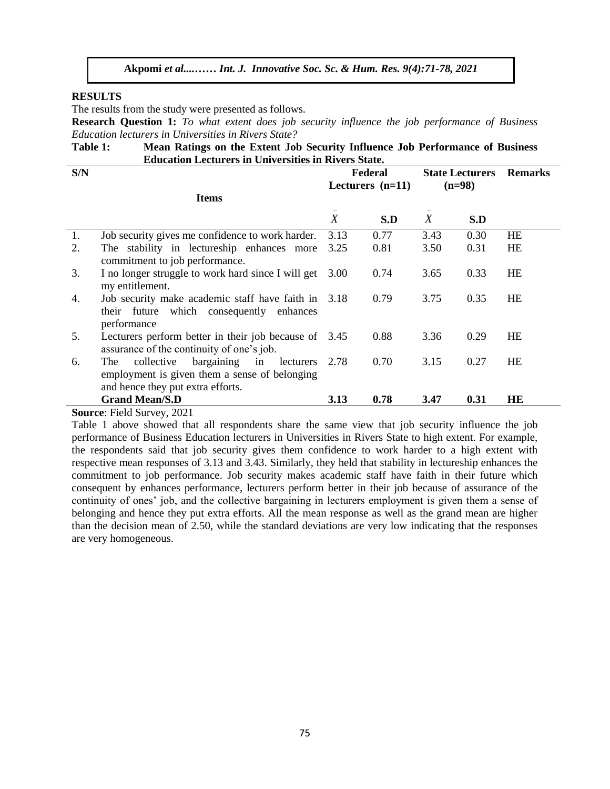#### **RESULTS**

The results from the study were presented as follows.

**Research Question 1:** To what extent does job security influence the job performance of Business *Education lecturers in Universities in Rivers State?*

| Table 1: | Mean Ratings on the Extent Job Security Influence Job Performance of Business |
|----------|-------------------------------------------------------------------------------|
|          | <b>Education Lecturers in Universities in Rivers State.</b>                   |

| S/N |                                                                                                                                              |                  | Federal<br>Lecturers $(n=11)$ | <b>State Lecturers</b><br>$(n=98)$ |      | <b>Remarks</b> |
|-----|----------------------------------------------------------------------------------------------------------------------------------------------|------------------|-------------------------------|------------------------------------|------|----------------|
|     | <b>Items</b>                                                                                                                                 |                  |                               |                                    |      |                |
|     |                                                                                                                                              | $\boldsymbol{X}$ | S.D                           | $\boldsymbol{X}$                   | S.D  |                |
| 1.  | Job security gives me confidence to work harder.                                                                                             | 3.13             | 0.77                          | 3.43                               | 0.30 | HE             |
| 2.  | The stability in lectureship enhances more<br>commitment to job performance.                                                                 | 3.25             | 0.81                          | 3.50                               | 0.31 | HE             |
| 3.  | I no longer struggle to work hard since I will get<br>my entitlement.                                                                        | 3.00             | 0.74                          | 3.65                               | 0.33 | <b>HE</b>      |
| 4.  | Job security make academic staff have faith in 3.18<br>their future which consequently enhances<br>performance                               |                  | 0.79                          | 3.75                               | 0.35 | HE             |
| 5.  | Lecturers perform better in their job because of 3.45<br>assurance of the continuity of one's job.                                           |                  | 0.88                          | 3.36                               | 0.29 | HE             |
| 6.  | bargaining in<br>collective<br>lecturers<br><b>The</b><br>employment is given them a sense of belonging<br>and hence they put extra efforts. | 2.78             | 0.70                          | 3.15                               | 0.27 | <b>HE</b>      |
|     | <b>Grand Mean/S.D</b>                                                                                                                        | 3.13             | 0.78                          | 3.47                               | 0.31 | HE             |

**Source**: Field Survey, 2021

Table 1 above showed that all respondents share the same view that job security influence the job performance of Business Education lecturers in Universities in Rivers State to high extent. For example, the respondents said that job security gives them confidence to work harder to a high extent with respective mean responses of 3.13 and 3.43. Similarly, they held that stability in lectureship enhances the commitment to job performance. Job security makes academic staff have faith in their future which consequent by enhances performance, lecturers perform better in their job because of assurance of the continuity of ones' job, and the collective bargaining in lecturers employment is given them a sense of belonging and hence they put extra efforts. All the mean response as well as the grand mean are higher than the decision mean of 2.50, while the standard deviations are very low indicating that the responses are very homogeneous.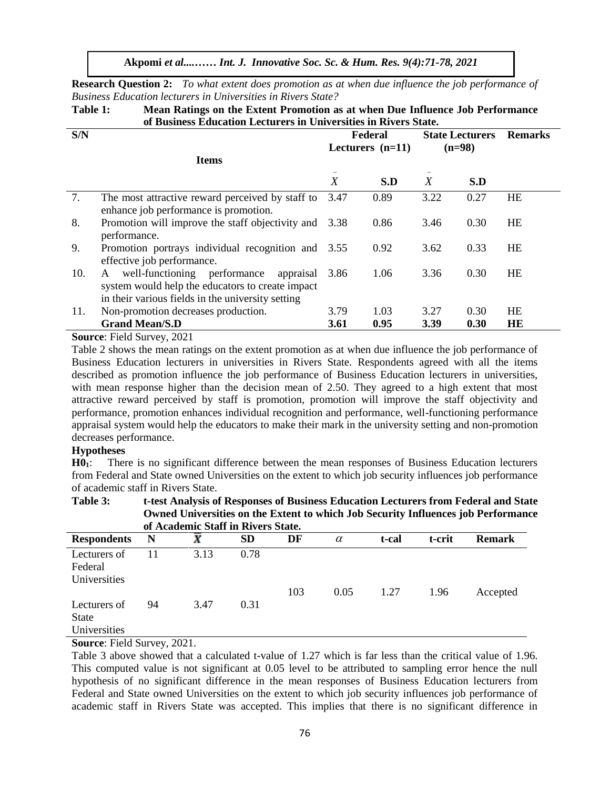**Research Question 2:** *To what extent does promotion as at when due influence the job performance of Business Education lecturers in Universities in Rivers State?*

Table 1: Mean Ratings on the Extent Promotion as at when Due Influence Job Performance **of Business Education Lecturers in Universities in Rivers State.**

| S/N |                                                                                                                                                         |                    | Federal | <b>State Lecturers</b> |      | <b>Remarks</b> |
|-----|---------------------------------------------------------------------------------------------------------------------------------------------------------|--------------------|---------|------------------------|------|----------------|
|     |                                                                                                                                                         | Lecturers $(n=11)$ |         | $(n=98)$               |      |                |
|     | <b>Items</b>                                                                                                                                            |                    |         |                        |      |                |
|     |                                                                                                                                                         | $\boldsymbol{X}$   | S.D     | $\boldsymbol{X}$       | S.D  |                |
| 7.  | The most attractive reward perceived by staff to<br>enhance job performance is promotion.                                                               | 3.47               | 0.89    | 3.22                   | 0.27 | <b>HE</b>      |
| 8.  | Promotion will improve the staff objectivity and 3.38<br>performance.                                                                                   |                    | 0.86    | 3.46                   | 0.30 | HE             |
| 9.  | Promotion portrays individual recognition and 3.55<br>effective job performance.                                                                        |                    | 0.92    | 3.62                   | 0.33 | <b>HE</b>      |
| 10. | well-functioning performance<br>appraisal<br>A<br>system would help the educators to create impact<br>in their various fields in the university setting | 3.86               | 1.06    | 3.36                   | 0.30 | HE             |
| 11. | Non-promotion decreases production.                                                                                                                     | 3.79               | 1.03    | 3.27                   | 0.30 | <b>HE</b>      |
|     | <b>Grand Mean/S.D</b>                                                                                                                                   | 3.61               | 0.95    | 3.39                   | 0.30 | HE             |

**Source**: Field Survey, 2021

Table 2 shows the mean ratings on the extent promotion as at when due influence the job performance of Business Education lecturers in universities in Rivers State. Respondents agreed with all the items described as promotion influence the job performance of Business Education lecturers in universities, with mean response higher than the decision mean of 2.50. They agreed to a high extent that most attractive reward perceived by staff is promotion, promotion will improve the staff objectivity and performance, promotion enhances individual recognition and performance, well-functioning performance appraisal system would help the educators to make their mark in the university setting and non-promotion decreases performance.

# **Hypotheses**

**H01**: There is no significant difference between the mean responses of Business Education lecturers from Federal and State owned Universities on the extent to which job security influences job performance of academic staff in Rivers State.

#### **Table 3: t-test Analysis of Responses of Business Education Lecturers from Federal and State Owned Universities on the Extent to which Job Security Influences job Performance of Academic Staff in Rivers State.**

| <u>VI I IVUUVIIIIU DUMIL III IMTUD DUMUUT</u> |    |      |           |     |          |       |        |               |
|-----------------------------------------------|----|------|-----------|-----|----------|-------|--------|---------------|
| <b>Respondents</b>                            | N  | X    | <b>SD</b> | DF  | $\alpha$ | t-cal | t-crit | <b>Remark</b> |
| Lecturers of<br>Federal<br>Universities       |    | 3.13 | 0.78      | 103 | 0.05     | 1.27  | 1.96   | Accepted      |
| Lecturers of<br><b>State</b><br>Universities  | 94 | 3.47 | 0.31      |     |          |       |        |               |

## **Source**: Field Survey, 2021.

Table 3 above showed that a calculated t-value of 1.27 which is far less than the critical value of 1.96. This computed value is not significant at 0.05 level to be attributed to sampling error hence the null hypothesis of no significant difference in the mean responses of Business Education lecturers from Federal and State owned Universities on the extent to which job security influences job performance of academic staff in Rivers State was accepted. This implies that there is no significant difference in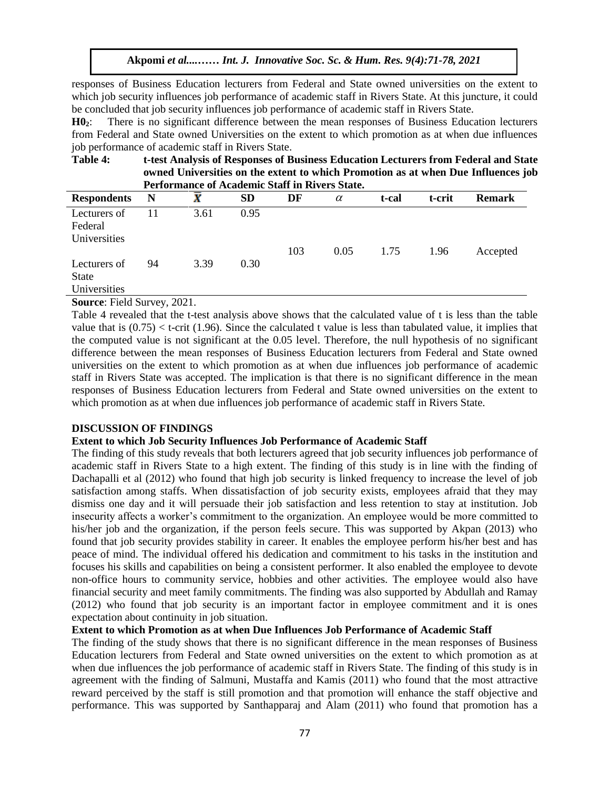responses of Business Education lecturers from Federal and State owned universities on the extent to which job security influences job performance of academic staff in Rivers State. At this juncture, it could be concluded that job security influences job performance of academic staff in Rivers State.

**H02**: There is no significant difference between the mean responses of Business Education lecturers from Federal and State owned Universities on the extent to which promotion as at when due influences job performance of academic staff in Rivers State.

Table 4: t-test Analysis of Responses of Business Education Lecturers from Federal and State **owned Universities on the extent to which Promotion as at when Due Influences job Performance of Academic Staff in Rivers State.** 

| 1 vlivlahuhuv vl livuuvallu Duull III IV (VLD Duuvu |    |      |      |     |          |       |        |               |
|-----------------------------------------------------|----|------|------|-----|----------|-------|--------|---------------|
| <b>Respondents</b>                                  | N  | X    | SD   | DF  | $\alpha$ | t-cal | t-crit | <b>Remark</b> |
| Lecturers of<br>Federal<br>Universities             | 11 | 3.61 | 0.95 |     |          |       |        |               |
| Lecturers of<br><b>State</b><br>Universities        | 94 | 3.39 | 0.30 | 103 | 0.05     | 1.75  | 1.96   | Accepted      |

**Source**: Field Survey, 2021.

Table 4 revealed that the t-test analysis above shows that the calculated value of t is less than the table value that is  $(0.75) < t$ -crit (1.96). Since the calculated t value is less than tabulated value, it implies that the computed value is not significant at the 0.05 level. Therefore, the null hypothesis of no significant difference between the mean responses of Business Education lecturers from Federal and State owned universities on the extent to which promotion as at when due influences job performance of academic staff in Rivers State was accepted. The implication is that there is no significant difference in the mean responses of Business Education lecturers from Federal and State owned universities on the extent to which promotion as at when due influences job performance of academic staff in Rivers State.

# **DISCUSSION OF FINDINGS**

# **Extent to which Job Security Influences Job Performance of Academic Staff**

The finding of this study reveals that both lecturers agreed that job security influences job performance of academic staff in Rivers State to a high extent. The finding of this study is in line with the finding of Dachapalli et al (2012) who found that high job security is linked frequency to increase the level of job satisfaction among staffs. When dissatisfaction of job security exists, employees afraid that they may dismiss one day and it will persuade their job satisfaction and less retention to stay at institution. Job insecurity affects a worker's commitment to the organization. An employee would be more committed to his/her job and the organization, if the person feels secure. This was supported by Akpan (2013) who found that job security provides stability in career. It enables the employee perform his/her best and has peace of mind. The individual offered his dedication and commitment to his tasks in the institution and focuses his skills and capabilities on being a consistent performer. It also enabled the employee to devote non-office hours to community service, hobbies and other activities. The employee would also have financial security and meet family commitments. The finding was also supported by Abdullah and Ramay (2012) who found that job security is an important factor in employee commitment and it is ones expectation about continuity in job situation.

# **Extent to which Promotion as at when Due Influences Job Performance of Academic Staff**

The finding of the study shows that there is no significant difference in the mean responses of Business Education lecturers from Federal and State owned universities on the extent to which promotion as at when due influences the job performance of academic staff in Rivers State. The finding of this study is in agreement with the finding of Salmuni, Mustaffa and Kamis (2011) who found that the most attractive reward perceived by the staff is still promotion and that promotion will enhance the staff objective and performance. This was supported by Santhapparaj and Alam (2011) who found that promotion has a